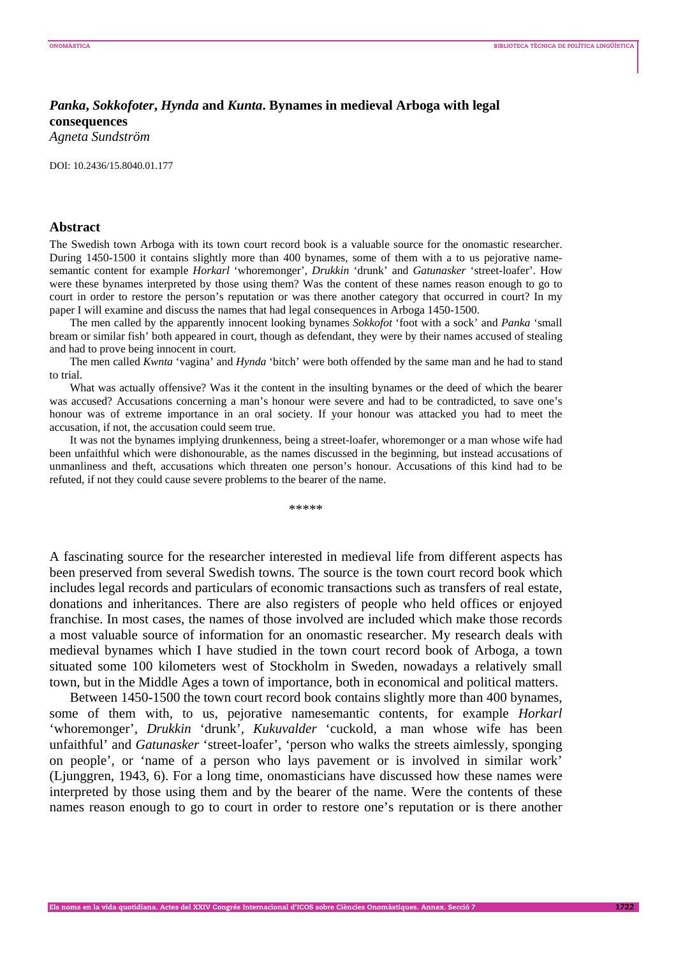## *Panka***,** *Sokkofoter***,** *Hynda* **and** *Kunta***. Bynames in medieval Arboga with legal consequences**

*Agneta Sundström* 

DOI: 10.2436/15.8040.01.177

## **Abstract**

The Swedish town Arboga with its town court record book is a valuable source for the onomastic researcher. During 1450-1500 it contains slightly more than 400 bynames, some of them with a to us pejorative namesemantic content for example *Horkarl* 'whoremonger', *Drukkin* 'drunk' and *Gatunasker* 'street-loafer'. How were these bynames interpreted by those using them? Was the content of these names reason enough to go to court in order to restore the person's reputation or was there another category that occurred in court? In my paper I will examine and discuss the names that had legal consequences in Arboga 1450-1500.

The men called by the apparently innocent looking bynames *Sokkofot* 'foot with a sock' and *Panka* 'small bream or similar fish' both appeared in court, though as defendant, they were by their names accused of stealing and had to prove being innocent in court.

The men called *Kwnta* 'vagina' and *Hynda* 'bitch' were both offended by the same man and he had to stand to trial.

What was actually offensive? Was it the content in the insulting bynames or the deed of which the bearer was accused? Accusations concerning a man's honour were severe and had to be contradicted, to save one's honour was of extreme importance in an oral society. If your honour was attacked you had to meet the accusation, if not, the accusation could seem true.

It was not the bynames implying drunkenness, being a street-loafer, whoremonger or a man whose wife had been unfaithful which were dishonourable, as the names discussed in the beginning, but instead accusations of unmanliness and theft, accusations which threaten one person's honour. Accusations of this kind had to be refuted, if not they could cause severe problems to the bearer of the name.

\*\*\*\*\*

A fascinating source for the researcher interested in medieval life from different aspects has been preserved from several Swedish towns. The source is the town court record book which includes legal records and particulars of economic transactions such as transfers of real estate, donations and inheritances. There are also registers of people who held offices or enjoyed franchise. In most cases, the names of those involved are included which make those records a most valuable source of information for an onomastic researcher. My research deals with medieval bynames which I have studied in the town court record book of Arboga, a town situated some 100 kilometers west of Stockholm in Sweden, nowadays a relatively small town, but in the Middle Ages a town of importance, both in economical and political matters.

Between 1450-1500 the town court record book contains slightly more than 400 bynames, some of them with, to us, pejorative namesemantic contents, for example *Horkarl* 'whoremonger', *Drukkin* 'drunk', *Kukuvalder* 'cuckold, a man whose wife has been unfaithful' and *Gatunasker* 'street-loafer', 'person who walks the streets aimlessly, sponging on people', or 'name of a person who lays pavement or is involved in similar work' (Ljunggren, 1943, 6). For a long time, onomasticians have discussed how these names were interpreted by those using them and by the bearer of the name. Were the contents of these names reason enough to go to court in order to restore one's reputation or is there another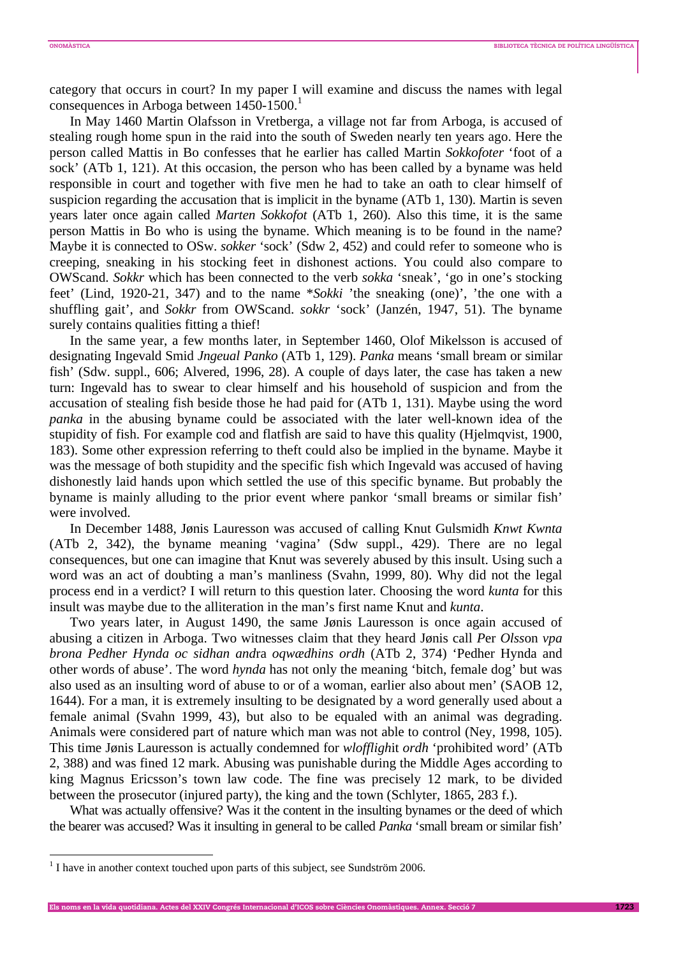category that occurs in court? In my paper I will examine and discuss the names with legal consequences in Arboga between 1450-1500.<sup>1</sup>

In May 1460 Martin Olafsson in Vretberga, a village not far from Arboga, is accused of stealing rough home spun in the raid into the south of Sweden nearly ten years ago. Here the person called Mattis in Bo confesses that he earlier has called Martin *Sokkofoter* 'foot of a sock' (ATb 1, 121). At this occasion, the person who has been called by a byname was held responsible in court and together with five men he had to take an oath to clear himself of suspicion regarding the accusation that is implicit in the byname (ATb 1, 130). Martin is seven years later once again called *Marten Sokkofot* (ATb 1, 260). Also this time, it is the same person Mattis in Bo who is using the byname. Which meaning is to be found in the name? Maybe it is connected to OSw. *sokker* 'sock' (Sdw 2, 452) and could refer to someone who is creeping, sneaking in his stocking feet in dishonest actions. You could also compare to OWScand. *Sokkr* which has been connected to the verb *sokka* 'sneak', 'go in one's stocking feet' (Lind, 1920-21, 347) and to the name \**Sokki* 'the sneaking (one)', 'the one with a shuffling gait', and *Sokkr* from OWScand. *sokkr* 'sock' (Janzén, 1947, 51). The byname surely contains qualities fitting a thief!

In the same year, a few months later, in September 1460, Olof Mikelsson is accused of designating Ingevald Smid *Jngeual Panko* (ATb 1, 129). *Panka* means 'small bream or similar fish' (Sdw. suppl., 606; Alvered, 1996, 28). A couple of days later, the case has taken a new turn: Ingevald has to swear to clear himself and his household of suspicion and from the accusation of stealing fish beside those he had paid for (ATb 1, 131). Maybe using the word *panka* in the abusing byname could be associated with the later well-known idea of the stupidity of fish. For example cod and flatfish are said to have this quality (Hjelmqvist, 1900, 183). Some other expression referring to theft could also be implied in the byname. Maybe it was the message of both stupidity and the specific fish which Ingevald was accused of having dishonestly laid hands upon which settled the use of this specific byname. But probably the byname is mainly alluding to the prior event where pankor 'small breams or similar fish' were involved.

In December 1488, Jønis Lauresson was accused of calling Knut Gulsmidh *Knwt Kwnta* (ATb 2, 342), the byname meaning 'vagina' (Sdw suppl., 429). There are no legal consequences, but one can imagine that Knut was severely abused by this insult. Using such a word was an act of doubting a man's manliness (Svahn, 1999, 80). Why did not the legal process end in a verdict? I will return to this question later. Choosing the word *kunta* for this insult was maybe due to the alliteration in the man's first name Knut and *kunta*.

Two years later, in August 1490, the same Jønis Lauresson is once again accused of abusing a citizen in Arboga. Two witnesses claim that they heard Jønis call *P*er *Olss*on *vpa brona Pedh*e*r Hynda oc sidhan and*ra *oqwædhins ordh* (ATb 2, 374) 'Pedher Hynda and other words of abuse'. The word *hynda* has not only the meaning 'bitch, female dog' but was also used as an insulting word of abuse to or of a woman, earlier also about men' (SAOB 12, 1644). For a man, it is extremely insulting to be designated by a word generally used about a female animal (Svahn 1999, 43), but also to be equaled with an animal was degrading. Animals were considered part of nature which man was not able to control (Ney, 1998, 105). This time Jønis Lauresson is actually condemned for *wloffligh*it *ordh* 'prohibited word' (ATb 2, 388) and was fined 12 mark. Abusing was punishable during the Middle Ages according to king Magnus Ericsson's town law code. The fine was precisely 12 mark, to be divided between the prosecutor (injured party), the king and the town (Schlyter, 1865, 283 f.).

What was actually offensive? Was it the content in the insulting bynames or the deed of which the bearer was accused? Was it insulting in general to be called *Panka* 'small bream or similar fish'

**Els noms en la vida quotidiana. Actes del XXIV Congrés Internacional d'ICOS sobre Ciències Onomàstiques. Annex. Secció 7 1723**

 $<sup>1</sup>$  I have in another context touched upon parts of this subject, see Sundström 2006.</sup>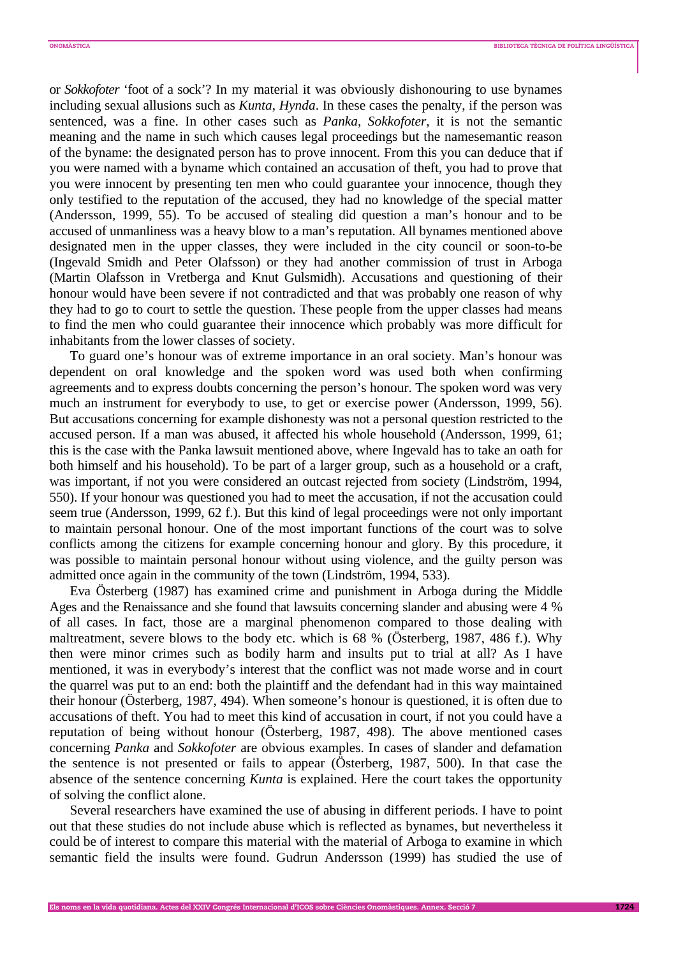or *Sokkofoter* 'foot of a sock'? In my material it was obviously dishonouring to use bynames including sexual allusions such as *Kunta*, *Hynda*. In these cases the penalty, if the person was sentenced, was a fine. In other cases such as *Panka*, *Sokkofoter*, it is not the semantic meaning and the name in such which causes legal proceedings but the namesemantic reason of the byname: the designated person has to prove innocent. From this you can deduce that if you were named with a byname which contained an accusation of theft, you had to prove that you were innocent by presenting ten men who could guarantee your innocence, though they only testified to the reputation of the accused, they had no knowledge of the special matter (Andersson, 1999, 55). To be accused of stealing did question a man's honour and to be accused of unmanliness was a heavy blow to a man's reputation. All bynames mentioned above designated men in the upper classes, they were included in the city council or soon-to-be (Ingevald Smidh and Peter Olafsson) or they had another commission of trust in Arboga (Martin Olafsson in Vretberga and Knut Gulsmidh). Accusations and questioning of their honour would have been severe if not contradicted and that was probably one reason of why they had to go to court to settle the question. These people from the upper classes had means to find the men who could guarantee their innocence which probably was more difficult for inhabitants from the lower classes of society.

To guard one's honour was of extreme importance in an oral society. Man's honour was dependent on oral knowledge and the spoken word was used both when confirming agreements and to express doubts concerning the person's honour. The spoken word was very much an instrument for everybody to use, to get or exercise power (Andersson, 1999, 56). But accusations concerning for example dishonesty was not a personal question restricted to the accused person. If a man was abused, it affected his whole household (Andersson, 1999, 61; this is the case with the Panka lawsuit mentioned above, where Ingevald has to take an oath for both himself and his household). To be part of a larger group, such as a household or a craft, was important, if not you were considered an outcast rejected from society (Lindström, 1994, 550). If your honour was questioned you had to meet the accusation, if not the accusation could seem true (Andersson, 1999, 62 f.). But this kind of legal proceedings were not only important to maintain personal honour. One of the most important functions of the court was to solve conflicts among the citizens for example concerning honour and glory. By this procedure, it was possible to maintain personal honour without using violence, and the guilty person was admitted once again in the community of the town (Lindström, 1994, 533).

Eva Österberg (1987) has examined crime and punishment in Arboga during the Middle Ages and the Renaissance and she found that lawsuits concerning slander and abusing were 4 % of all cases. In fact, those are a marginal phenomenon compared to those dealing with maltreatment, severe blows to the body etc. which is 68 % (Österberg, 1987, 486 f.). Why then were minor crimes such as bodily harm and insults put to trial at all? As I have mentioned, it was in everybody's interest that the conflict was not made worse and in court the quarrel was put to an end: both the plaintiff and the defendant had in this way maintained their honour (Österberg, 1987, 494). When someone's honour is questioned, it is often due to accusations of theft. You had to meet this kind of accusation in court, if not you could have a reputation of being without honour (Österberg, 1987, 498). The above mentioned cases concerning *Panka* and *Sokkofoter* are obvious examples. In cases of slander and defamation the sentence is not presented or fails to appear (Österberg, 1987, 500). In that case the absence of the sentence concerning *Kunta* is explained. Here the court takes the opportunity of solving the conflict alone.

Several researchers have examined the use of abusing in different periods. I have to point out that these studies do not include abuse which is reflected as bynames, but nevertheless it could be of interest to compare this material with the material of Arboga to examine in which semantic field the insults were found. Gudrun Andersson (1999) has studied the use of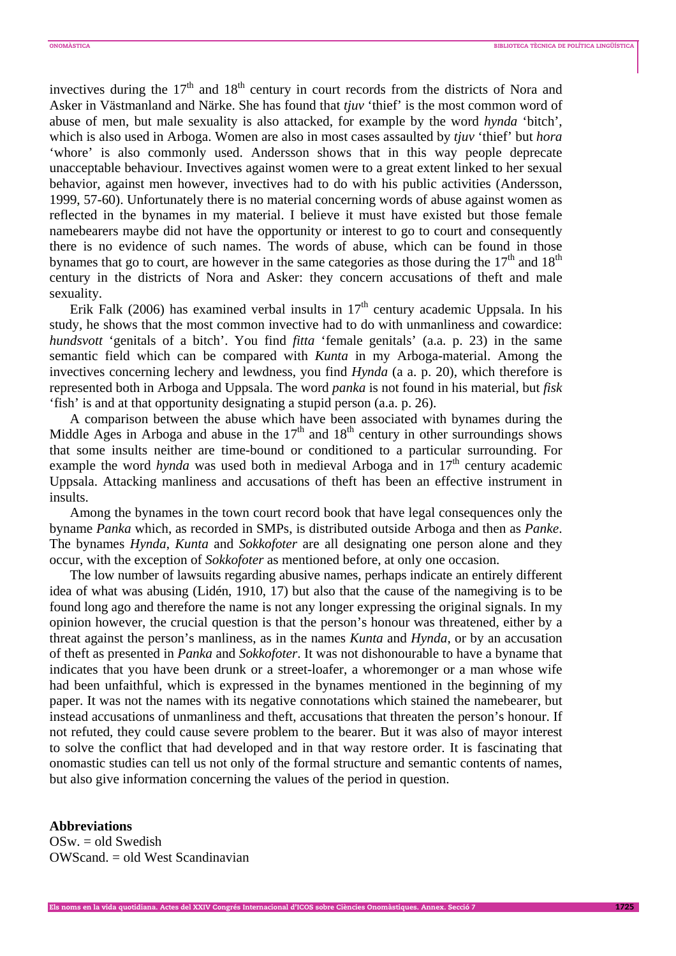invectives during the  $17<sup>th</sup>$  and  $18<sup>th</sup>$  century in court records from the districts of Nora and Asker in Västmanland and Närke. She has found that *tjuv* 'thief' is the most common word of abuse of men, but male sexuality is also attacked, for example by the word *hynda* 'bitch', which is also used in Arboga. Women are also in most cases assaulted by *tjuv* 'thief' but *hora* 'whore' is also commonly used. Andersson shows that in this way people deprecate unacceptable behaviour. Invectives against women were to a great extent linked to her sexual behavior, against men however, invectives had to do with his public activities (Andersson, 1999, 57-60). Unfortunately there is no material concerning words of abuse against women as reflected in the bynames in my material. I believe it must have existed but those female namebearers maybe did not have the opportunity or interest to go to court and consequently there is no evidence of such names. The words of abuse, which can be found in those bynames that go to court, are however in the same categories as those during the  $17<sup>th</sup>$  and  $18<sup>th</sup>$ century in the districts of Nora and Asker: they concern accusations of theft and male sexuality.

Erik Falk (2006) has examined verbal insults in  $17<sup>th</sup>$  century academic Uppsala. In his study, he shows that the most common invective had to do with unmanliness and cowardice: *hundsvott* 'genitals of a bitch'. You find *fitta* 'female genitals' (a.a. p. 23) in the same semantic field which can be compared with *Kunta* in my Arboga-material. Among the invectives concerning lechery and lewdness, you find *Hynda* (a a. p. 20), which therefore is represented both in Arboga and Uppsala. The word *panka* is not found in his material, but *fisk* 'fish' is and at that opportunity designating a stupid person (a.a. p. 26).

A comparison between the abuse which have been associated with bynames during the Middle Ages in Arboga and abuse in the  $17<sup>th</sup>$  and  $18<sup>th</sup>$  century in other surroundings shows that some insults neither are time-bound or conditioned to a particular surrounding. For example the word *hynda* was used both in medieval Arboga and in 17<sup>th</sup> century academic Uppsala. Attacking manliness and accusations of theft has been an effective instrument in insults.

Among the bynames in the town court record book that have legal consequences only the byname *Panka* which, as recorded in SMPs, is distributed outside Arboga and then as *Panke*. The bynames *Hynda*, *Kunta* and *Sokkofoter* are all designating one person alone and they occur, with the exception of *Sokkofoter* as mentioned before, at only one occasion.

The low number of lawsuits regarding abusive names, perhaps indicate an entirely different idea of what was abusing (Lidén, 1910, 17) but also that the cause of the namegiving is to be found long ago and therefore the name is not any longer expressing the original signals. In my opinion however, the crucial question is that the person's honour was threatened, either by a threat against the person's manliness, as in the names *Kunta* and *Hynda*, or by an accusation of theft as presented in *Panka* and *Sokkofoter*. It was not dishonourable to have a byname that indicates that you have been drunk or a street-loafer, a whoremonger or a man whose wife had been unfaithful, which is expressed in the bynames mentioned in the beginning of my paper. It was not the names with its negative connotations which stained the namebearer, but instead accusations of unmanliness and theft, accusations that threaten the person's honour. If not refuted, they could cause severe problem to the bearer. But it was also of mayor interest to solve the conflict that had developed and in that way restore order. It is fascinating that onomastic studies can tell us not only of the formal structure and semantic contents of names, but also give information concerning the values of the period in question.

## **Abbreviations**

 $OSw = old Swe$ dish OWScand. = old West Scandinavian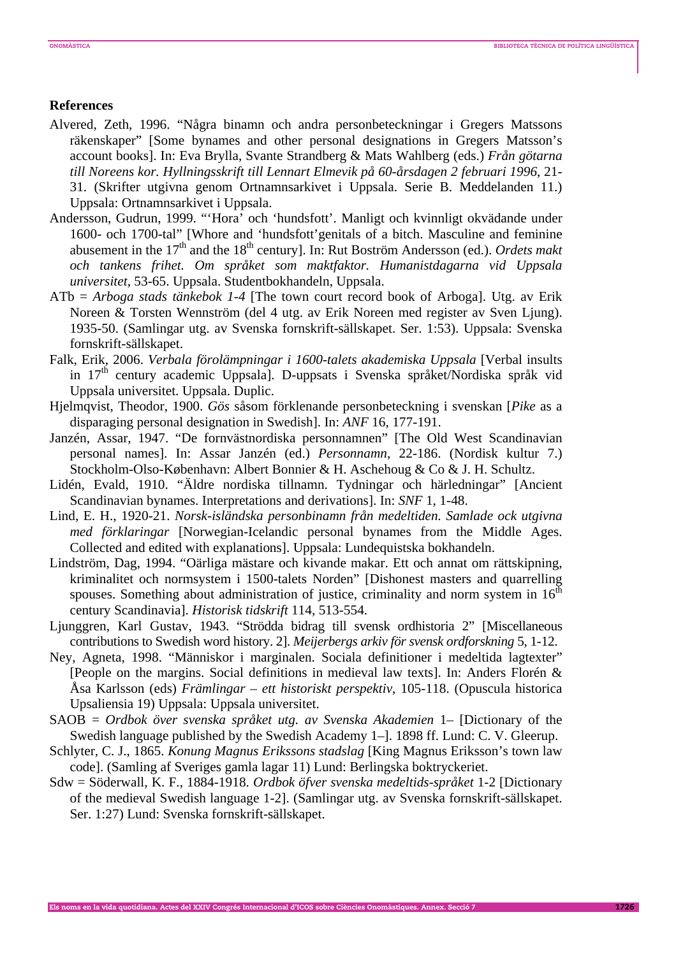## **References**

- Alvered, Zeth, 1996. "Några binamn och andra personbeteckningar i Gregers Matssons räkenskaper" [Some bynames and other personal designations in Gregers Matsson's account books]. In: Eva Brylla, Svante Strandberg & Mats Wahlberg (eds.) *Från götarna till Noreens kor. Hyllningsskrift till Lennart Elmevik på 60-årsdagen 2 februari 1996*, 21- 31. (Skrifter utgivna genom Ortnamnsarkivet i Uppsala. Serie B. Meddelanden 11.) Uppsala: Ortnamnsarkivet i Uppsala.
- Andersson, Gudrun, 1999. "'Hora' och 'hundsfott'. Manligt och kvinnligt okvädande under 1600- och 1700-tal" [Whore and 'hundsfott'genitals of a bitch. Masculine and feminine abusement in the 17<sup>th</sup> and the 18<sup>th</sup> century]. In: Rut Boström Andersson (ed.). *Ordets makt och tankens frihet. Om språket som maktfaktor. Humanistdagarna vid Uppsala universitet*, 53-65. Uppsala. Studentbokhandeln, Uppsala.
- ATb = *Arboga stads tänkebok 1-4* [The town court record book of Arboga]. Utg. av Erik Noreen & Torsten Wennström (del 4 utg. av Erik Noreen med register av Sven Ljung). 1935-50. (Samlingar utg. av Svenska fornskrift-sällskapet. Ser. 1:53). Uppsala: Svenska fornskrift-sällskapet.
- Falk, Erik, 2006. *Verbala förolämpningar i 1600-talets akademiska Uppsala* [Verbal insults in 17<sup>th</sup> century academic Uppsala]. D-uppsats i Svenska språket/Nordiska språk vid Uppsala universitet. Uppsala. Duplic.
- Hjelmqvist, Theodor, 1900. *Gös* såsom förklenande personbeteckning i svenskan [*Pike* as a disparaging personal designation in Swedish]. In: *ANF* 16, 177-191.
- Janzén, Assar, 1947. "De fornvästnordiska personnamnen" [The Old West Scandinavian personal names]. In: Assar Janzén (ed.) *Personnamn*, 22-186. (Nordisk kultur 7.) Stockholm-Olso-København: Albert Bonnier & H. Aschehoug & Co & J. H. Schultz.
- Lidén, Evald, 1910. "Äldre nordiska tillnamn. Tydningar och härledningar" [Ancient Scandinavian bynames. Interpretations and derivations]. In: *SNF* 1, 1-48.
- Lind, E. H., 1920-21. *Norsk-isländska personbinamn från medeltiden. Samlade ock utgivna med förklaringar* [Norwegian-Icelandic personal bynames from the Middle Ages. Collected and edited with explanations]. Uppsala: Lundequistska bokhandeln.
- Lindström, Dag, 1994. "Oärliga mästare och kivande makar. Ett och annat om rättskipning, kriminalitet och normsystem i 1500-talets Norden" [Dishonest masters and quarrelling spouses. Something about administration of justice, criminality and norm system in  $16<sup>th</sup>$ century Scandinavia]. *Historisk tidskrift* 114, 513-554.
- Ljunggren, Karl Gustav, 1943. "Strödda bidrag till svensk ordhistoria 2" [Miscellaneous contributions to Swedish word history. 2]. *Meijerbergs arkiv för svensk ordforskning* 5, 1-12.
- Ney, Agneta, 1998. "Människor i marginalen. Sociala definitioner i medeltida lagtexter" [People on the margins. Social definitions in medieval law texts]. In: Anders Florén & Åsa Karlsson (eds) *Främlingar – ett historiskt perspektiv*, 105-118. (Opuscula historica Upsaliensia 19) Uppsala: Uppsala universitet.
- SAOB = *Ordbok över svenska språket utg. av Svenska Akademien* 1– [Dictionary of the Swedish language published by the Swedish Academy 1–]. 1898 ff. Lund: C. V. Gleerup.
- Schlyter, C. J., 1865. *Konung Magnus Erikssons stadslag* [King Magnus Eriksson's town law code]. (Samling af Sveriges gamla lagar 11) Lund: Berlingska boktryckeriet.
- Sdw = Söderwall, K. F., 1884-1918. *Ordbok öfver svenska medeltids-språket* 1-2 [Dictionary of the medieval Swedish language 1-2]. (Samlingar utg. av Svenska fornskrift-sällskapet. Ser. 1:27) Lund: Svenska fornskrift-sällskapet.